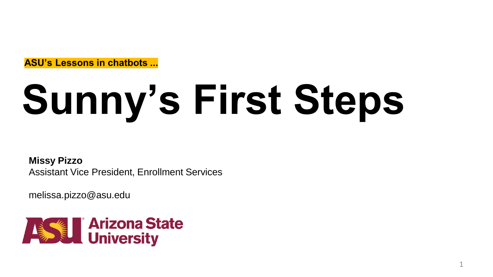**ASU's Lessons in chatbots ...**

# **Sunny's First Steps**

**Missy Pizzo** Assistant Vice President, Enrollment Services

melissa.pizzo@asu.edu

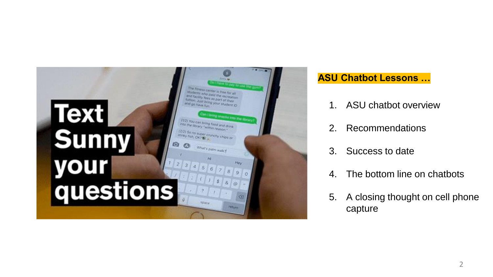

#### **ASU Chatbot Lessons …**

- 1. ASU chatbot overview
- 2. Recommendations
- 3. Success to date
- 4. The bottom line on chatbots
- 5. A closing thought on cell phone capture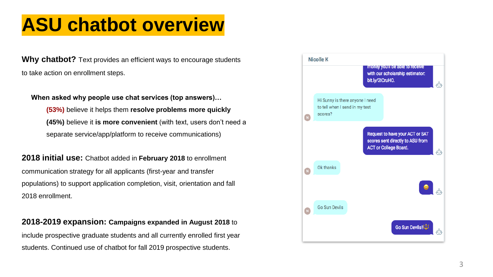## **ASU chatbot overview**

**Why chatbot?** Text provides an efficient ways to encourage students to take action on enrollment steps.

#### **When asked why people use chat services (top answers)…**

**(53%)** believe it helps them **resolve problems more quickly (45%)** believe it **is more convenient** (with text, users don't need a separate service/app/platform to receive communications)

**2018 initial use:** Chatbot added in **February 2018** to enrollment communication strategy for all applicants (first-year and transfer populations) to support application completion, visit, orientation and fall 2018 enrollment.

#### **2018-2019 expansion: Campaigns expanded in August 2018** to

include prospective graduate students and all currently enrolled first year students. Continued use of chatbot for fall 2019 prospective students.

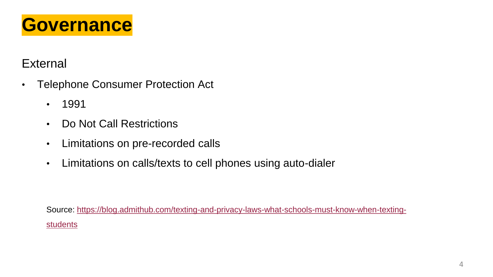

## **External**

- Telephone Consumer Protection Act
	- 1991
	- Do Not Call Restrictions
	- Limitations on pre-recorded calls
	- Limitations on calls/texts to cell phones using auto-dialer

[Source: https://blog.admithub.com/texting-and-privacy-laws-what-schools-must-know-when-texting](https://blog.admithub.com/texting-and-privacy-laws-what-schools-must-know-when-texting-students)**students**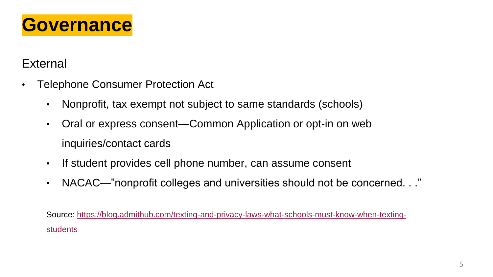

## **External**

- Telephone Consumer Protection Act
	- Nonprofit, tax exempt not subject to same standards (schools)
	- Oral or express consent—Common Application or opt-in on web inquiries/contact cards
	- If student provides cell phone number, can assume consent
	- NACAC—"nonprofit colleges and universities should not be concerned. . ."

[Source: https://blog.admithub.com/texting-and-privacy-laws-what-schools-must-know-when-texting](https://blog.admithub.com/texting-and-privacy-laws-what-schools-must-know-when-texting-students)students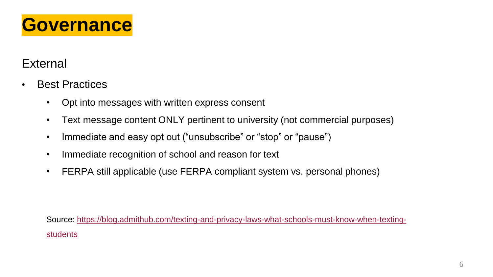

### **External**

- Best Practices
	- Opt into messages with written express consent
	- Text message content ONLY pertinent to university (not commercial purposes)
	- Immediate and easy opt out ("unsubscribe" or "stop" or "pause")
	- Immediate recognition of school and reason for text
	- FERPA still applicable (use FERPA compliant system vs. personal phones)

[Source: https://blog.admithub.com/texting-and-privacy-laws-what-schools-must-know-when-texting](https://blog.admithub.com/texting-and-privacy-laws-what-schools-must-know-when-texting-students)students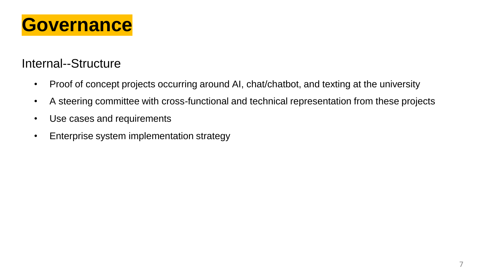

### Internal--Structure

- Proof of concept projects occurring around AI, chat/chatbot, and texting at the university
- A steering committee with cross-functional and technical representation from these projects
- Use cases and requirements
- Enterprise system implementation strategy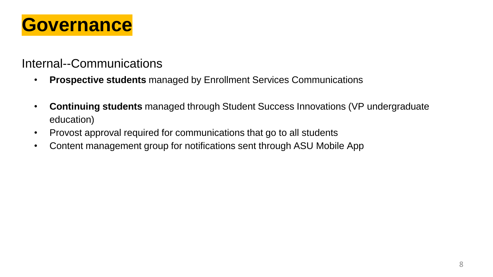

#### Internal--Communications

- **Prospective students** managed by Enrollment Services Communications
- **Continuing students** managed through Student Success Innovations (VP undergraduate education)
- Provost approval required for communications that go to all students
- Content management group for notifications sent through ASU Mobile App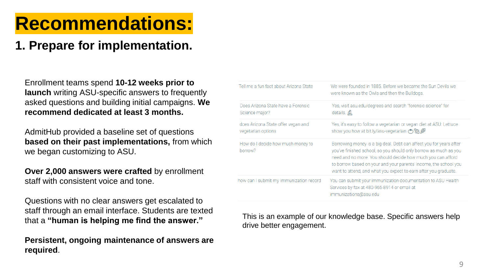## **Recommendations:**

## **1. Prepare for implementation.**

Enrollment teams spend **10-12 weeks prior to launch** writing ASU-specific answers to frequently asked questions and building initial campaigns. **We recommend dedicated at least 3 months.**

AdmitHub provided a baseline set of questions **based on their past implementations,** from which we began customizing to ASU.

**Over 2,000 answers were crafted** by enrollment staff with consistent voice and tone.

Questions with no clear answers get escalated to staff through an email interface. Students are texted that a **"human is helping me find the answer."**

**Persistent, ongoing maintenance of answers are required**.

| Tell me a fun fact about Arizona State                   | We were founded in 1885. Before we became the Sun Devils we<br>were known as the Owls and then the Bulldogs.                                                                                                                                                                                                                                 |
|----------------------------------------------------------|----------------------------------------------------------------------------------------------------------------------------------------------------------------------------------------------------------------------------------------------------------------------------------------------------------------------------------------------|
| Does Arizona State have a Forensic<br>Science major?     | Yes, visit asu.edu/degrees and search "forensic science" for<br>details. A                                                                                                                                                                                                                                                                   |
| does Arizona State offer yegan and<br>vegetarian options | Yes, it's easy to follow a vegetarian or vegan diet at ASU: Lettuce<br>show you how at bit.ly/asu-vegetarian $\binom{m}{n}$                                                                                                                                                                                                                  |
| How do I decide how much money to<br>borrow?             | Borrowing money is a big deal. Debt can affect you for years after<br>you've finished school, so you should only borrow as much as you<br>need and no more. You should decide how much you can afford<br>to borrow based on your and your parents' income, the school you<br>want to attend, and what you expect to earn after you graduate. |
| how can I submit my immunization record                  | You can submit your immunization documentation to ASU Health<br>Services by fax at 480-965-8914 or email at<br>immunizations@asu.edu                                                                                                                                                                                                         |

This is an example of our knowledge base. Specific answers help drive better engagement.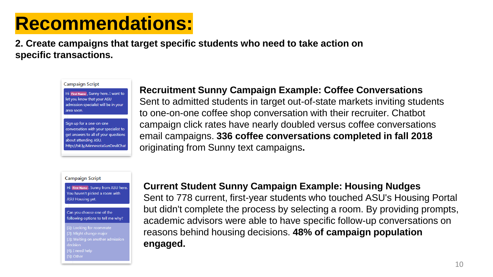# **Recommendations:**

**2. Create campaigns that target specific students who need to take action on specific transactions.** 

**Campaign Script** 

Hi First Name, Sunny here. I want to let you know that your ASU admission specialist will be in your area soon.

Sign up for a one-on-one conversation with your specialist to get answers to all of your questions about attending ASU. http://bit.ly/MinnesotaSunDevilChat

#### **Recruitment Sunny Campaign Example: Coffee Conversations**

Sent to admitted students in target out-of-state markets inviting students to one-on-one coffee shop conversation with their recruiter. Chatbot campaign click rates have nearly doubled versus coffee conversations email campaigns. **336 coffee conversations completed in fall 2018**  originating from Sunny text campaigns**.**

#### **Campaign Script**

Hi First Name . Sunny from ASU here. You haven't picked a room with **ASU Housing yet.** 

Can you choose one of the following options to tell me why?

[1]: Looking for roommate 31: Waiting on another admission [4]: I need help

#### **Current Student Sunny Campaign Example: Housing Nudges**

Sent to 778 current, first-year students who touched ASU's Housing Portal but didn't complete the process by selecting a room. By providing prompts, academic advisors were able to have specific follow-up conversations on reasons behind housing decisions. **48% of campaign population engaged.**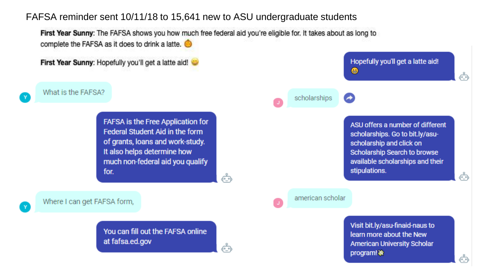#### FAFSA reminder sent 10/11/18 to 15,641 new to ASU undergraduate students

First Year Sunny: The FAFSA shows you how much free federal aid you're eligible for. It takes about as long to complete the FAFSA as it does to drink a latte.

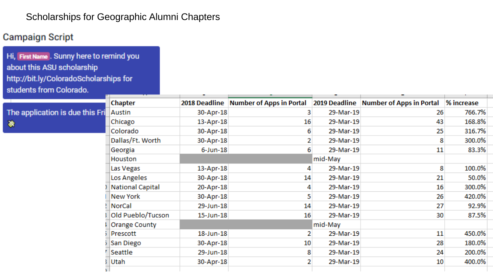#### Scholarships for Geographic Alumni Chapters

#### **Campaign Script**

Hi, First Name. Sunny here to remind you about this ASU scholarship http://bit.ly/ColoradoScholarships for students from Colorado.

|                                 | <b>Chapter</b>    |             | 2018 Deadline Number of Apps in Portal |           | 2019 Deadline Number of Apps in Portal | % increase |  |
|---------------------------------|-------------------|-------------|----------------------------------------|-----------|----------------------------------------|------------|--|
| The application is due this Fri | Austin            | 30-Apr-18   |                                        | 29-Mar-19 | 26                                     | 766.7%     |  |
| 象                               | Chicago           | 13-Apr-18   | 16                                     | 29-Mar-19 | 43                                     | 168.8%     |  |
|                                 | Colorado          | 30-Apr-18   | 6                                      | 29-Mar-19 | 25                                     | 316.7%     |  |
|                                 | Dallas/Ft. Worth  | 30-Apr-18   |                                        | 29-Mar-19 |                                        | 300.0%     |  |
|                                 | Georgia           | $6$ -Jun-18 |                                        | 29-Mar-19 | 11                                     | 83.3%      |  |
|                                 | Houston           |             |                                        | mid-May   |                                        |            |  |
|                                 | Las Vegas         | 13-Apr-18   |                                        | 29-Mar-19 |                                        | 100.0%     |  |
|                                 | Los Angeles       | 30-Apr-18   | 14                                     | 29-Mar-19 | 21                                     | 50.0%      |  |
|                                 | National Capital  | 20-Apr-18   |                                        | 29-Mar-19 | 16                                     | 300.0%     |  |
|                                 | New York          | 30-Apr-18   |                                        | 29-Mar-19 | 26                                     | 420.0%     |  |
|                                 | NorCal            | 29-Jun-18   | 14                                     | 29-Mar-19 | 27                                     | 92.9%      |  |
|                                 | Old Pueblo/Tucson | 15-Jun-18   | 16                                     | 29-Mar-19 | 30                                     | 87.5%      |  |
|                                 | Orange County     |             |                                        | mid-May   |                                        |            |  |
|                                 | Prescott          | 18-Jun-18   |                                        | 29-Mar-19 | 11                                     | 450.0%     |  |
|                                 | San Diego         | 30-Apr-18   | 10                                     | 29-Mar-19 | 28                                     | 180.0%     |  |
|                                 | Seattle           | 29-Jun-18   | 8                                      | 29-Mar-19 | 24                                     | 200.0%     |  |
|                                 | Utah              | 30-Apr-18   | 2                                      | 29-Mar-19 | 10                                     | 400.0%     |  |
|                                 |                   |             |                                        |           |                                        |            |  |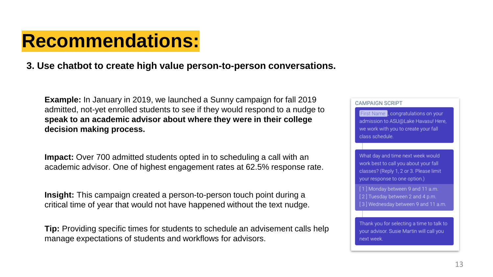## **Recommendations:**

#### **3. Use chatbot to create high value person-to-person conversations.**

**Example:** In January in 2019, we launched a Sunny campaign for fall 2019 admitted, not-yet enrolled students to see if they would respond to a nudge to **speak to an academic advisor about where they were in their college decision making process.**

**Impact:** Over 700 admitted students opted in to scheduling a call with an academic advisor. One of highest engagement rates at 62.5% response rate.

**Insight:** This campaign created a person-to-person touch point during a critical time of year that would not have happened without the text nudge.

**Tip:** Providing specific times for students to schedule an advisement calls help manage expectations of students and workflows for advisors.

#### **CAMPAIGN SCRIPT**

First Name, congratulations on your admission to ASU@Lake Havasu! Here, we work with you to create your fall class schedule.

What day and time next week would work best to call you about your fall classes? (Reply 1, 2 or 3, Please limit your response to one option.)

[1] Monday between 9 and 11 a.m. [2] Tuesday between 2 and 4 p.m. [3] Wednesday between 9 and 11 a.m.

Thank you for selecting a time to talk to your advisor. Susie Martin will call you next week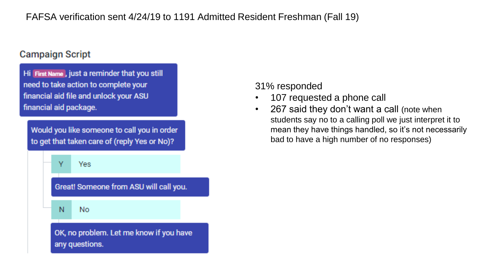#### FAFSA verification sent 4/24/19 to 1191 Admitted Resident Freshman (Fall 19)

#### **Campaign Script**

Hi First Name, just a reminder that you still need to take action to complete your financial aid file and unlock your ASU financial aid package.

Would you like someone to call you in order to get that taken care of (reply Yes or No)?



#### 31% responded

- 107 requested a phone call
- 267 said they don't want a call (note when students say no to a calling poll we just interpret it to mean they have things handled, so it's not necessarily bad to have a high number of no responses)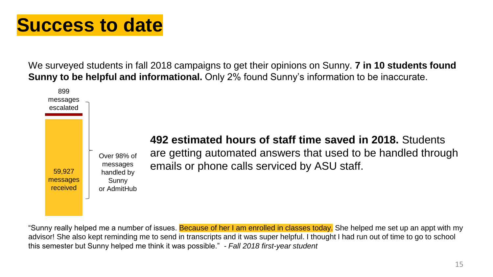## **Success to date**

We surveyed students in fall 2018 campaigns to get their opinions on Sunny. **7 in 10 students found Sunny to be helpful and informational.** Only 2% found Sunny's information to be inaccurate.



"Sunny really helped me a number of issues. Because of her I am enrolled in classes today. She helped me set up an appt with my advisor! She also kept reminding me to send in transcripts and it was super helpful. I thought I had run out of time to go to school this semester but Sunny helped me think it was possible." *- Fall 2018 first-year student*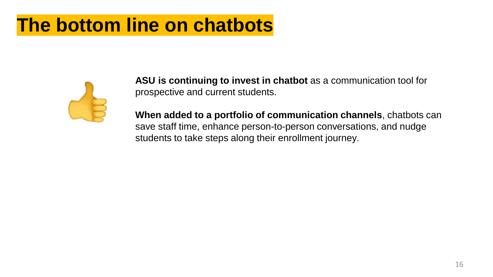## **The bottom line on chatbots**



**ASU is continuing to invest in chatbot** as a communication tool for prospective and current students.

**When added to a portfolio of communication channels**, chatbots can save staff time, enhance person-to-person conversations, and nudge students to take steps along their enrollment journey.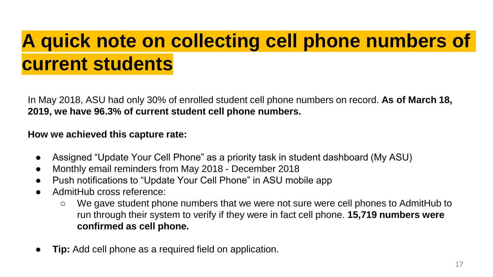# **A quick note on collecting cell phone numbers of current students**

In May 2018, ASU had only 30% of enrolled student cell phone numbers on record. **As of March 18, 2019, we have 96.3% of current student cell phone numbers.** 

#### **How we achieved this capture rate:**

- Assigned "Update Your Cell Phone" as a priority task in student dashboard (My ASU)
- Monthly email reminders from May 2018 December 2018
- Push notifications to "Update Your Cell Phone" in ASU mobile app
- AdmitHub cross reference:
	- We gave student phone numbers that we were not sure were cell phones to AdmitHub to run through their system to verify if they were in fact cell phone. **15,719 numbers were confirmed as cell phone.**
- **Tip:** Add cell phone as a required field on application.